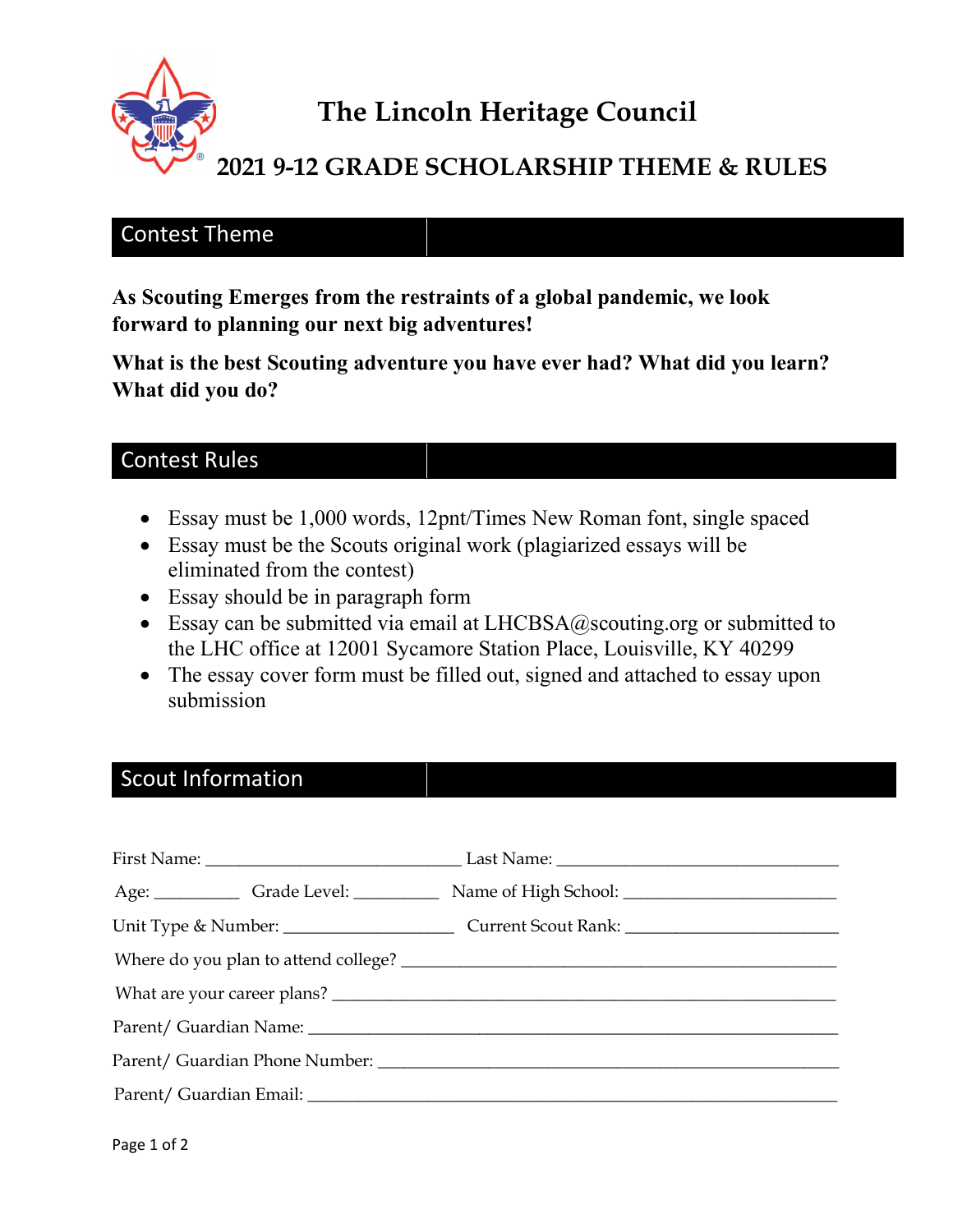

# The Lincoln Heritage Council

## 2021 9-12 GRADE SCHOLARSHIP THEME & RULES

#### Contest Theme

As Scouting Emerges from the restraints of a global pandemic, we look forward to planning our next big adventures!

What is the best Scouting adventure you have ever had? What did you learn? What did you do?

### Contest Rules

- Essay must be 1,000 words, 12pnt/Times New Roman font, single spaced
- Essay must be the Scouts original work (plagiarized essays will be eliminated from the contest)
- Essay should be in paragraph form
- Essay can be submitted via email at  $LHCBSA@s$ couting.org or submitted to the LHC office at 12001 Sycamore Station Place, Louisville, KY 40299
- The essay cover form must be filled out, signed and attached to essay upon submission

#### Scout Information

| Age: Grade Level: Name of High School: Name of High School: |
|-------------------------------------------------------------|
|                                                             |
|                                                             |
|                                                             |
|                                                             |
|                                                             |
|                                                             |